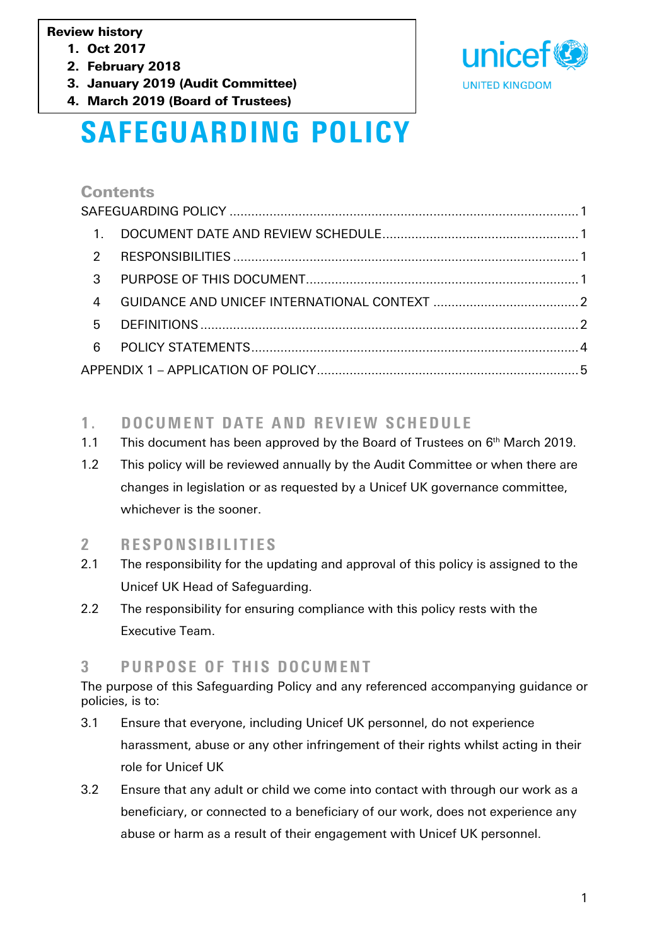#### Review history

- 1. Oct 2017
- 2. February 2018
- 3. January 2019 (Audit Committee)
- 4. March 2019 (Board of Trustees)



# <span id="page-0-0"></span>SAFEGUARDING POLICY

#### **Contents**

| $\overline{1}$ .        |  |  |
|-------------------------|--|--|
| $\overline{2}$          |  |  |
| $\overline{\mathbf{3}}$ |  |  |
| $\overline{4}$          |  |  |
| -5                      |  |  |
| $6\overline{6}$         |  |  |
|                         |  |  |

# <span id="page-0-1"></span>1. DOCUMENT DATE AND REVIEW SCHEDULE

- 1.1 This document has been approved by the Board of Trustees on  $6<sup>th</sup>$  March 2019.
- 1.2 This policy will be reviewed annually by the Audit Committee or when there are changes in legislation or as requested by a Unicef UK governance committee, whichever is the sooner.

# <span id="page-0-2"></span>2 RESPONSIBILITIES

- 2.1 The responsibility for the updating and approval of this policy is assigned to the Unicef UK Head of Safeguarding.
- 2.2 The responsibility for ensuring compliance with this policy rests with the Executive Team.

# <span id="page-0-3"></span>3 PURPOSE OF THIS DOCUMENT

The purpose of this Safeguarding Policy and any referenced accompanying guidance or policies, is to:

- 3.1 Ensure that everyone, including Unicef UK personnel, do not experience harassment, abuse or any other infringement of their rights whilst acting in their role for Unicef UK
- 3.2 Ensure that any adult or child we come into contact with through our work as a beneficiary, or connected to a beneficiary of our work, does not experience any abuse or harm as a result of their engagement with Unicef UK personnel.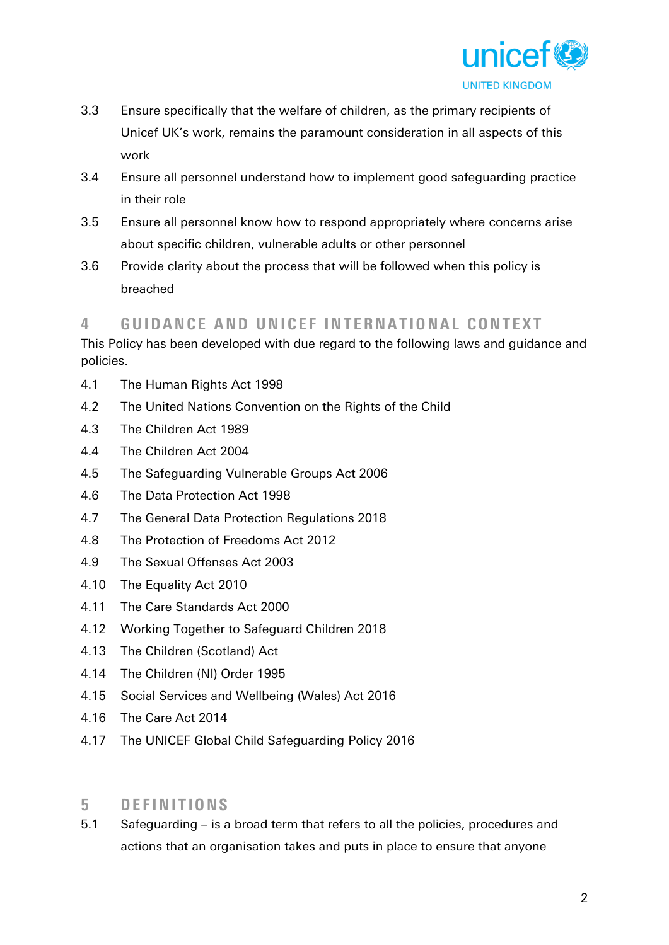

- 3.3 Ensure specifically that the welfare of children, as the primary recipients of Unicef UK's work, remains the paramount consideration in all aspects of this work
- 3.4 Ensure all personnel understand how to implement good safeguarding practice in their role
- 3.5 Ensure all personnel know how to respond appropriately where concerns arise about specific children, vulnerable adults or other personnel
- 3.6 Provide clarity about the process that will be followed when this policy is breached

#### <span id="page-1-0"></span>4 GUIDANCE AND UNICEF INTERNATIONAL CONTEXT

This Policy has been developed with due regard to the following laws and guidance and policies.

- 4.1 The Human Rights Act 1998
- 4.2 The United Nations Convention on the Rights of the Child
- 4.3 The Children Act 1989
- 4.4 The Children Act 2004
- 4.5 The Safeguarding Vulnerable Groups Act 2006
- 4.6 The Data Protection Act 1998
- 4.7 The General Data Protection Regulations 2018
- 4.8 The Protection of Freedoms Act 2012
- 4.9 The Sexual Offenses Act 2003
- 4.10 The Equality Act 2010
- 4.11 The Care Standards Act 2000
- 4.12 Working Together to Safeguard Children 2018
- 4.13 The Children (Scotland) Act
- 4.14 The Children (NI) Order 1995
- 4.15 Social Services and Wellbeing (Wales) Act 2016
- 4.16 The Care Act 2014
- 4.17 The UNICEF Global Child Safeguarding Policy 2016

#### <span id="page-1-1"></span>5 DEFINITIONS

5.1 Safeguarding – is a broad term that refers to all the policies, procedures and actions that an organisation takes and puts in place to ensure that anyone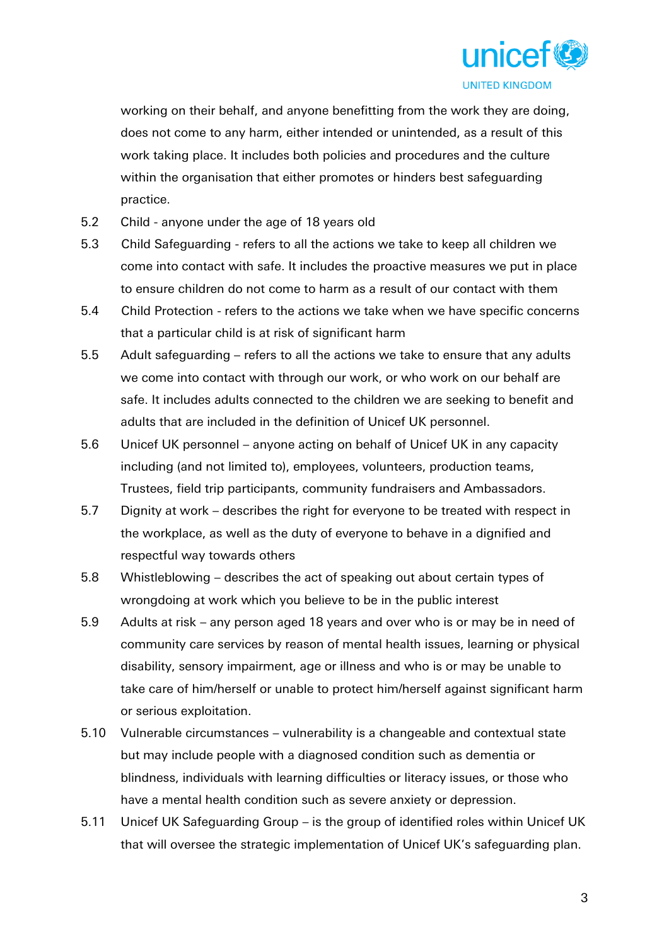

working on their behalf, and anyone benefitting from the work they are doing, does not come to any harm, either intended or unintended, as a result of this work taking place. It includes both policies and procedures and the culture within the organisation that either promotes or hinders best safeguarding practice.

- 5.2 Child anyone under the age of 18 years old
- 5.3 Child Safeguarding refers to all the actions we take to keep all children we come into contact with safe. It includes the proactive measures we put in place to ensure children do not come to harm as a result of our contact with them
- 5.4 Child Protection refers to the actions we take when we have specific concerns that a particular child is at risk of significant harm
- 5.5 Adult safeguarding refers to all the actions we take to ensure that any adults we come into contact with through our work, or who work on our behalf are safe. It includes adults connected to the children we are seeking to benefit and adults that are included in the definition of Unicef UK personnel.
- 5.6 Unicef UK personnel anyone acting on behalf of Unicef UK in any capacity including (and not limited to), employees, volunteers, production teams, Trustees, field trip participants, community fundraisers and Ambassadors.
- 5.7 Dignity at work describes the right for everyone to be treated with respect in the workplace, as well as the duty of everyone to behave in a dignified and respectful way towards others
- 5.8 Whistleblowing describes the act of speaking out about certain types of wrongdoing at work which you believe to be in the public interest
- 5.9 Adults at risk any person aged 18 years and over who is or may be in need of community care services by reason of mental health issues, learning or physical disability, sensory impairment, age or illness and who is or may be unable to take care of him/herself or unable to protect him/herself against significant harm or serious exploitation.
- 5.10 Vulnerable circumstances vulnerability is a changeable and contextual state but may include people with a diagnosed condition such as dementia or blindness, individuals with learning difficulties or literacy issues, or those who have a mental health condition such as severe anxiety or depression.
- 5.11 Unicef UK Safeguarding Group is the group of identified roles within Unicef UK that will oversee the strategic implementation of Unicef UK's safeguarding plan.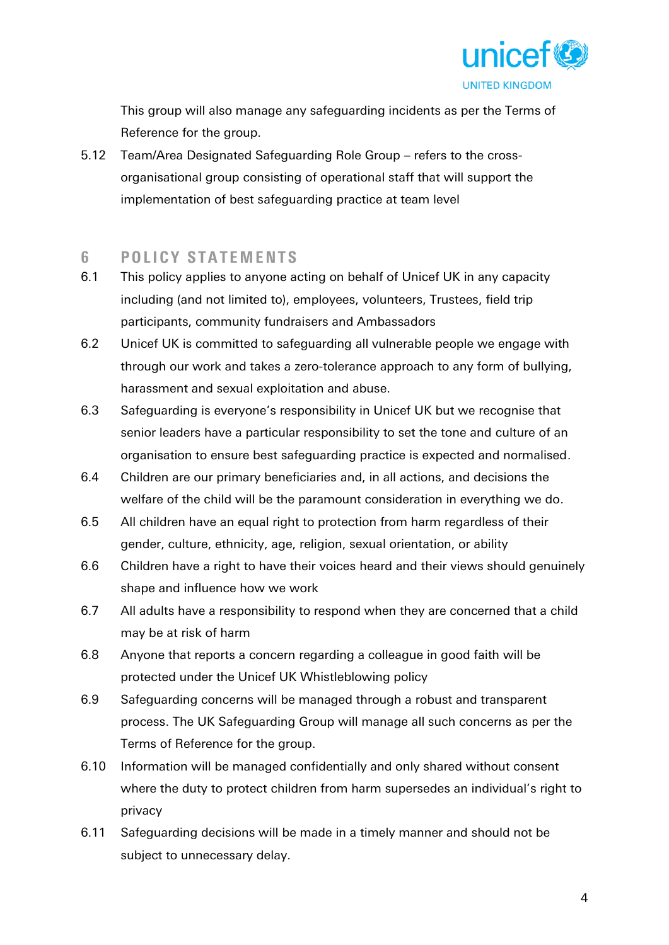

This group will also manage any safeguarding incidents as per the Terms of Reference for the group.

5.12 Team/Area Designated Safeguarding Role Group – refers to the crossorganisational group consisting of operational staff that will support the implementation of best safeguarding practice at team level

#### <span id="page-3-0"></span>6 POLICY STATEMENTS

- 6.1 This policy applies to anyone acting on behalf of Unicef UK in any capacity including (and not limited to), employees, volunteers, Trustees, field trip participants, community fundraisers and Ambassadors
- 6.2 Unicef UK is committed to safeguarding all vulnerable people we engage with through our work and takes a zero-tolerance approach to any form of bullying, harassment and sexual exploitation and abuse.
- 6.3 Safeguarding is everyone's responsibility in Unicef UK but we recognise that senior leaders have a particular responsibility to set the tone and culture of an organisation to ensure best safeguarding practice is expected and normalised.
- 6.4 Children are our primary beneficiaries and, in all actions, and decisions the welfare of the child will be the paramount consideration in everything we do.
- 6.5 All children have an equal right to protection from harm regardless of their gender, culture, ethnicity, age, religion, sexual orientation, or ability
- 6.6 Children have a right to have their voices heard and their views should genuinely shape and influence how we work
- 6.7 All adults have a responsibility to respond when they are concerned that a child may be at risk of harm
- 6.8 Anyone that reports a concern regarding a colleague in good faith will be protected under the Unicef UK Whistleblowing policy
- 6.9 Safeguarding concerns will be managed through a robust and transparent process. The UK Safeguarding Group will manage all such concerns as per the Terms of Reference for the group.
- 6.10 Information will be managed confidentially and only shared without consent where the duty to protect children from harm supersedes an individual's right to privacy
- 6.11 Safeguarding decisions will be made in a timely manner and should not be subject to unnecessary delay.